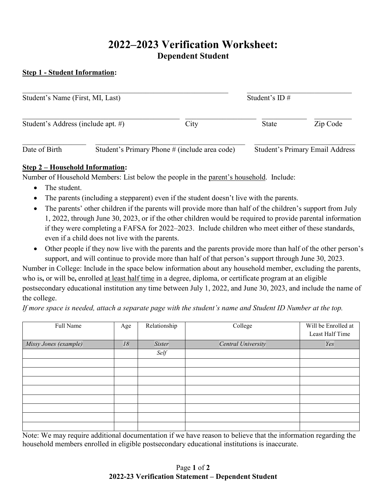# **2022–2023 Verification Worksheet: Dependent Student**

#### **Step 1 - Student Information:**

| Student's Name (First, MI, Last)   |                                               |      | Student's $ID \#$ |                                        |
|------------------------------------|-----------------------------------------------|------|-------------------|----------------------------------------|
| Student's Address (include apt. #) |                                               | City | State             | Zip Code                               |
| Date of Birth                      | Student's Primary Phone # (include area code) |      |                   | <b>Student's Primary Email Address</b> |

#### **Step 2 – Household Information:**

Number of Household Members: List below the people in the parent's household. Include:

- The student.
- The parents (including a stepparent) even if the student doesn't live with the parents.
- The parents' other children if the parents will provide more than half of the children's support from July 1, 2022, through June 30, 2023, or if the other children would be required to provide parental information if they were completing a FAFSA for 2022–2023. Include children who meet either of these standards, even if a child does not live with the parents.
- Other people if they now live with the parents and the parents provide more than half of the other person's support, and will continue to provide more than half of that person's support through June 30, 2023.

Number in College: Include in the space below information about any household member, excluding the parents, who is**,** or will be**,** enrolled at least half time in a degree, diploma, or certificate program at an eligible postsecondary educational institution any time between July 1, 2022, and June 30, 2023, and include the name of the college.

*If more space is needed, attach a separate page with the student's name and Student ID Number at the top.*

| Full Name             | Age | Relationship | College            | Will be Enrolled at<br>Least Half Time |
|-----------------------|-----|--------------|--------------------|----------------------------------------|
| Missy Jones (example) | 18  | Sister       | Central University | Yes                                    |
|                       |     | Self         |                    |                                        |
|                       |     |              |                    |                                        |
|                       |     |              |                    |                                        |
|                       |     |              |                    |                                        |
|                       |     |              |                    |                                        |
|                       |     |              |                    |                                        |
|                       |     |              |                    |                                        |
|                       |     |              |                    |                                        |
|                       |     |              |                    |                                        |

Note: We may require additional documentation if we have reason to believe that the information regarding the household members enrolled in eligible postsecondary educational institutions is inaccurate.

#### Page **1** of **2 2022-23 Verification Statement – Dependent Student**